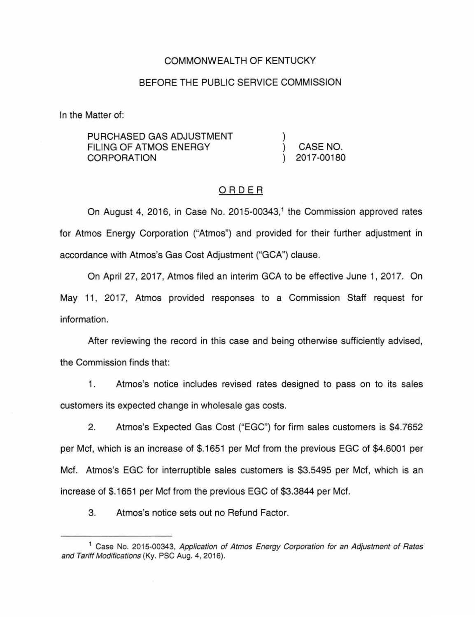## COMMONWEALTH OF KENTUCKY

## BEFORE THE PUBLIC SERVICE COMMISSION

In the Matter of:

| PURCHASED GAS ADJUSTMENT<br>FILING OF ATMOS ENERGY |  |            |
|----------------------------------------------------|--|------------|
|                                                    |  | CASE NO.   |
| CORPORATION                                        |  | 2017-00180 |

# ORDER

On August 4, 2016, in Case No. 2015-00343, 1 the Commission approved rates for Atmos Energy Corporation ("Atmos") and provided for their further adjustment in accordance with Atmos's Gas Cost Adjustment ("GCA") clause.

On April 27, 2017, Atmos filed an interim GCA to be effective June 1, 2017. On May 11, 2017, Atmos provided responses to a Commission Staff request for information.

After reviewing the record in this case and being otherwise sufficiently advised, the Commission finds that:

1. Atmos's notice includes revised rates designed to pass on to its sales customers its expected change in wholesale gas costs.

2. Atmos's Expected Gas Cost ("EGG") for firm sales customers is \$4.7652 per Met, which is an increase of \$.1651 per Met from the previous EGG of \$4.6001 per Met. Atmos's EGG for interruptible sales customers is \$3.5495 per Met, which is an increase of \$.1651 per Met from the previous EGG of \$3.3844 per Met.

3. Atmos's notice sets out no Refund Factor.

<sup>&</sup>lt;sup>1</sup> Case No. 2015-00343, Application of Atmos Energy Corporation for an Adjustment of Rates and Tariff Modifications (Ky. PSC Aug. 4, 2016).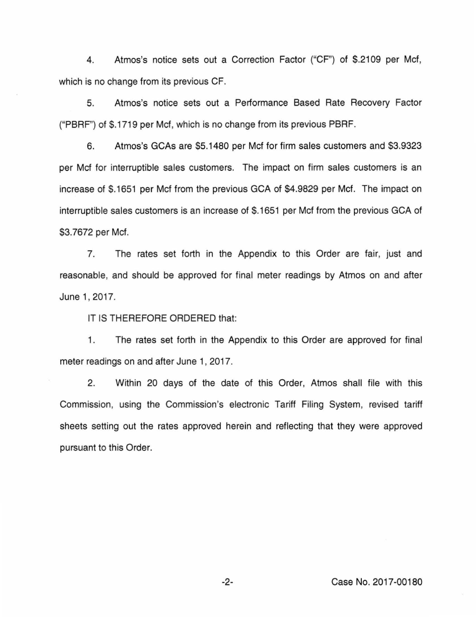4. Atmos's notice sets out a Correction Factor ("CF") of \$.2109 per Met, which is no change from its previous CF.

5. Atmos's notice sets out a Performance Based Rate Recovery Factor ("PBRP') of \$.1719 per Met, which is no change from its previous PBRF.

6. Atmos's GCAs are \$5.1480 per Met for firm sales customers and \$3.9323 per Met for interruptible sales customers. The impact on firm sales customers is an increase of \$.1651 per Met from the previous GCA of \$4.9829 per Mcf. The impact on interruptible sales customers is an increase of \$.1651 per Met from the previous GCA of \$3.7672 per Mcf.

7. The rates set forth in the Appendix to this Order are fair, just and reasonable, and should be approved for final meter readings by Atmos on and after June 1, 2017.

IT IS THEREFORE ORDERED that:

1. The rates set forth in the Appendix to this Order are approved for final meter readings on and after June 1, 2017.

2. Within 20 days of the date of this Order, Atmos shall file with this Commission, using the Commission's electronic Tariff Filing System, revised tariff sheets setting out the rates approved herein and reflecting that they were approved pursuant to this Order.

-2- Case No. 2017-00180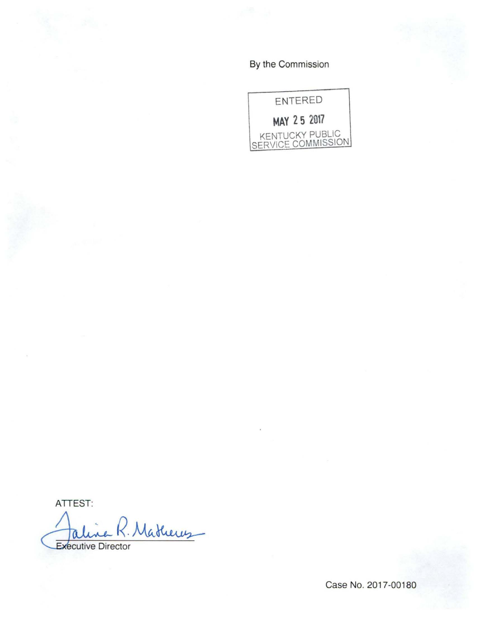By the Commission



ATTEST:

Frecutive R. Mathews

Case No. 2017-00180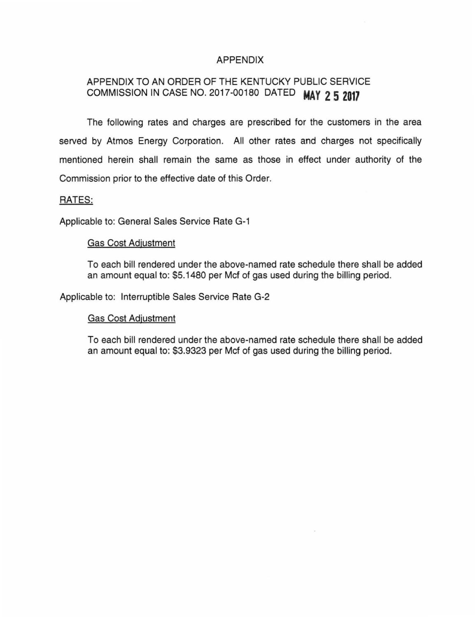# APPENDIX

# APPENDIX TO AN ORDER OF THE KENTUCKY PUBLIC SERVICE COMMISSION IN CASE NO. 2017-00180 DATED **MAY 2 5 2017**

The following rates and charges are prescribed for the customers in the area served by Atmos Energy Corporation. All other rates and charges not specifically mentioned herein shall remain the same as those in effect under authority of the Commission prior to the effective date of this Order.

## RATES:

Applicable to: General Sales Service Rate G-1

### Gas Cost Adjustment

To each bill rendered under the above-named rate schedule there shall be added an amount equal to: \$5.1480 per Mcf of gas used during the billing period.

Applicable to: Interruptible Sales Service Rate G-2

### Gas Cost Adjustment

To each bill rendered under the above-named rate schedule there shall be added an amount equal to: \$3.9323 per Mcf of gas used during the billing period.